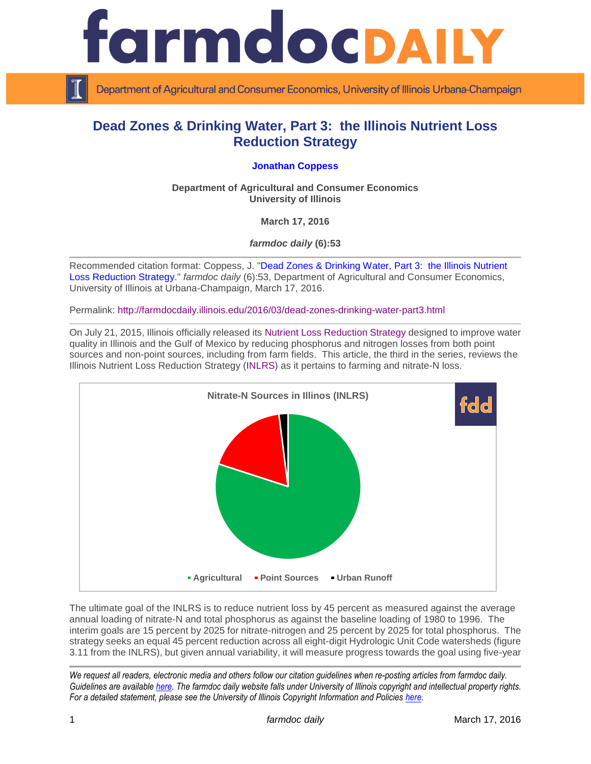

Department of Agricultural and Consumer Economics, University of Illinois Urbana-Champaign

## **Dead Zones & Drinking Water, Part 3: the Illinois Nutrient Loss Reduction Strategy**

## **[Jonathan Coppess](http://www.farmdoc.illinois.edu/coppess/)**

**Department of Agricultural and Consumer Economics University of Illinois**

**March 17, 2016**

*farmdoc daily* **(6):53**

Recommended citation format: Coppess, J. ["Dead Zones & Drinking Water, Part 3: the Illinois Nutrient](http://farmdocdaily.illinois.edu/2016/03/dead-zones-drinking-water-part3.html)  [Loss Reduction Strategy.](http://farmdocdaily.illinois.edu/2016/03/dead-zones-drinking-water-part3.html)" *farmdoc daily* (6):53, Department of Agricultural and Consumer Economics, University of Illinois at Urbana-Champaign, March 17, 2016.

Permalink: <http://farmdocdaily.illinois.edu/2016/03/dead-zones-drinking-water-part3.html>

On July 21, 2015, Illinois officially released its [Nutrient Loss Reduction Strategy](http://www.epa.illinois.gov/topics/water-quality/watershed-management/excess-nutrients/nutrient-loss-reduction-strategy/index) designed to improve water quality in Illinois and the Gulf of Mexico by reducing phosphorus and nitrogen losses from both point sources and non-point sources, including from farm fields. This article, the third in the series, reviews the Illinois Nutrient Loss Reduction Strategy [\(INLRS\)](http://www.epa.illinois.gov/Assets/iepa/water-quality/watershed-management/nlrs/nlrs-final-revised-083115.pdf) as it pertains to farming and nitrate-N loss.



The ultimate goal of the INLRS is to reduce nutrient loss by 45 percent as measured against the average annual loading of nitrate-N and total phosphorus as against the baseline loading of 1980 to 1996. The interim goals are 15 percent by 2025 for nitrate-nitrogen and 25 percent by 2025 for total phosphorus. The strategy seeks an equal 45 percent reduction across all eight-digit Hydrologic Unit Code watersheds (figure 3.11 from the INLRS), but given annual variability, it will measure progress towards the goal using five-year

*We request all readers, electronic media and others follow our citation guidelines when re-posting articles from farmdoc daily. Guidelines are available [here.](http://farmdocdaily.illinois.edu/citationguide.html) The farmdoc daily website falls under University of Illinois copyright and intellectual property rights. For a detailed statement, please see the University of Illinois Copyright Information and Policies [here.](http://www.cio.illinois.edu/policies/copyright/)*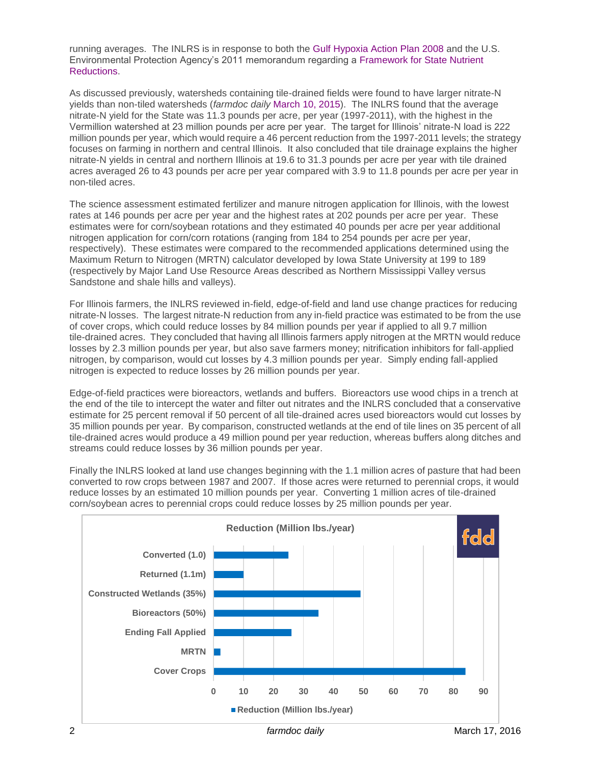running averages. The INLRS is in response to both the [Gulf Hypoxia Action Plan 2008](https://www.epa.gov/ms-htf/hypoxia-task-force-2008-action-plan-and-related-documents) and the U.S. Environmental Protection Agency's 2011 memorandum regarding a [Framework for State Nutrient](https://www.epa.gov/sites/production/files/documents/memo_nitrogen_framework.pdf)  [Reductions.](https://www.epa.gov/sites/production/files/documents/memo_nitrogen_framework.pdf)

As discussed previously, watersheds containing tile-drained fields were found to have larger nitrate-N yields than non-tiled watersheds (*farmdoc daily* [March 10, 2015\)](http://farmdocdaily.illinois.edu/2016/03/dead-zones-drinking-water-part2.html). The INLRS found that the average nitrate-N yield for the State was 11.3 pounds per acre, per year (1997-2011), with the highest in the Vermillion watershed at 23 million pounds per acre per year. The target for Illinois' nitrate-N load is 222 million pounds per year, which would require a 46 percent reduction from the 1997-2011 levels; the strategy focuses on farming in northern and central Illinois. It also concluded that tile drainage explains the higher nitrate-N yields in central and northern Illinois at 19.6 to 31.3 pounds per acre per year with tile drained acres averaged 26 to 43 pounds per acre per year compared with 3.9 to 11.8 pounds per acre per year in non-tiled acres.

The science assessment estimated fertilizer and manure nitrogen application for Illinois, with the lowest rates at 146 pounds per acre per year and the highest rates at 202 pounds per acre per year. These estimates were for corn/soybean rotations and they estimated 40 pounds per acre per year additional nitrogen application for corn/corn rotations (ranging from 184 to 254 pounds per acre per year, respectively). These estimates were compared to the recommended applications determined using the Maximum Return to Nitrogen (MRTN) calculator developed by Iowa State University at 199 to 189 (respectively by Major Land Use Resource Areas described as Northern Mississippi Valley versus Sandstone and shale hills and valleys).

For Illinois farmers, the INLRS reviewed in-field, edge-of-field and land use change practices for reducing nitrate-N losses. The largest nitrate-N reduction from any in-field practice was estimated to be from the use of cover crops, which could reduce losses by 84 million pounds per year if applied to all 9.7 million tile-drained acres. They concluded that having all Illinois farmers apply nitrogen at the MRTN would reduce losses by 2.3 million pounds per year, but also save farmers money; nitrification inhibitors for fall-applied nitrogen, by comparison, would cut losses by 4.3 million pounds per year. Simply ending fall-applied nitrogen is expected to reduce losses by 26 million pounds per year.

Edge-of-field practices were bioreactors, wetlands and buffers. Bioreactors use wood chips in a trench at the end of the tile to intercept the water and filter out nitrates and the INLRS concluded that a conservative estimate for 25 percent removal if 50 percent of all tile-drained acres used bioreactors would cut losses by 35 million pounds per year. By comparison, constructed wetlands at the end of tile lines on 35 percent of all tile-drained acres would produce a 49 million pound per year reduction, whereas buffers along ditches and streams could reduce losses by 36 million pounds per year.

Finally the INLRS looked at land use changes beginning with the 1.1 million acres of pasture that had been converted to row crops between 1987 and 2007. If those acres were returned to perennial crops, it would reduce losses by an estimated 10 million pounds per year. Converting 1 million acres of tile-drained corn/soybean acres to perennial crops could reduce losses by 25 million pounds per year.

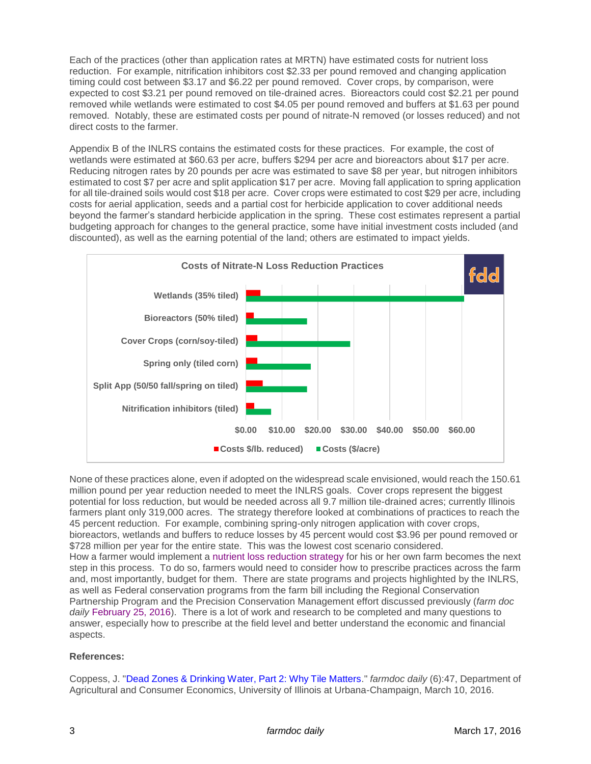Each of the practices (other than application rates at MRTN) have estimated costs for nutrient loss reduction. For example, nitrification inhibitors cost \$2.33 per pound removed and changing application timing could cost between \$3.17 and \$6.22 per pound removed. Cover crops, by comparison, were expected to cost \$3.21 per pound removed on tile-drained acres. Bioreactors could cost \$2.21 per pound removed while wetlands were estimated to cost \$4.05 per pound removed and buffers at \$1.63 per pound removed. Notably, these are estimated costs per pound of nitrate-N removed (or losses reduced) and not direct costs to the farmer.

Appendix B of the INLRS contains the estimated costs for these practices. For example, the cost of wetlands were estimated at \$60.63 per acre, buffers \$294 per acre and bioreactors about \$17 per acre. Reducing nitrogen rates by 20 pounds per acre was estimated to save \$8 per year, but nitrogen inhibitors estimated to cost \$7 per acre and split application \$17 per acre. Moving fall application to spring application for all tile-drained soils would cost \$18 per acre. Cover crops were estimated to cost \$29 per acre, including costs for aerial application, seeds and a partial cost for herbicide application to cover additional needs beyond the farmer's standard herbicide application in the spring. These cost estimates represent a partial budgeting approach for changes to the general practice, some have initial investment costs included (and discounted), as well as the earning potential of the land; others are estimated to impact yields.



None of these practices alone, even if adopted on the widespread scale envisioned, would reach the 150.61 million pound per year reduction needed to meet the INLRS goals. Cover crops represent the biggest potential for loss reduction, but would be needed across all 9.7 million tile-drained acres; currently Illinois farmers plant only 319,000 acres. The strategy therefore looked at combinations of practices to reach the 45 percent reduction. For example, combining spring-only nitrogen application with cover crops, bioreactors, wetlands and buffers to reduce losses by 45 percent would cost \$3.96 per pound removed or \$728 million per year for the entire state. This was the lowest cost scenario considered. How a farmer would implement a [nutrient loss reduction strategy](http://www.ilcorn.org/nutrientstrategy) for his or her own farm becomes the next step in this process. To do so, farmers would need to consider how to prescribe practices across the farm and, most importantly, budget for them. There are state programs and projects highlighted by the INLRS, as well as Federal conservation programs from the farm bill including the Regional Conservation Partnership Program and the Precision Conservation Management effort discussed previously (*farm doc daily* [February 25, 2016\)](http://farmdocdaily.illinois.edu/2016/02/dead-zones-drinking-water-part1.html). There is a lot of work and research to be completed and many questions to answer, especially how to prescribe at the field level and better understand the economic and financial aspects.

## **References:**

Coppess, J. ["Dead Zones & Drinking Water, Part 2: Why Tile Matters.](http://farmdocdaily.illinois.edu/2016/02/dead-zones-drinking-water-part2.html)" *farmdoc daily* (6):47, Department of Agricultural and Consumer Economics, University of Illinois at Urbana-Champaign, March 10, 2016.